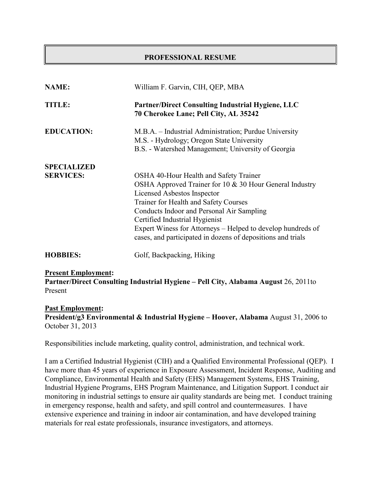#### **PROFESSIONAL RESUME**

| <b>NAME:</b>       | William F. Garvin, CIH, QEP, MBA                                                                                                                         |
|--------------------|----------------------------------------------------------------------------------------------------------------------------------------------------------|
| <b>TITLE:</b>      | <b>Partner/Direct Consulting Industrial Hygiene, LLC</b><br>70 Cherokee Lane; Pell City, AL 35242                                                        |
| <b>EDUCATION:</b>  | M.B.A. – Industrial Administration; Purdue University<br>M.S. - Hydrology; Oregon State University<br>B.S. - Watershed Management; University of Georgia |
| <b>SPECIALIZED</b> |                                                                                                                                                          |
| <b>SERVICES:</b>   | OSHA 40-Hour Health and Safety Trainer                                                                                                                   |
|                    | OSHA Approved Trainer for 10 & 30 Hour General Industry                                                                                                  |
|                    | Licensed Asbestos Inspector                                                                                                                              |
|                    | Trainer for Health and Safety Courses                                                                                                                    |
|                    | Conducts Indoor and Personal Air Sampling                                                                                                                |
|                    | Certified Industrial Hygienist                                                                                                                           |
|                    | Expert Winess for Attorneys – Helped to develop hundreds of                                                                                              |
|                    | cases, and participated in dozens of depositions and trials                                                                                              |
| <b>HOBBIES:</b>    | Golf, Backpacking, Hiking                                                                                                                                |

#### **Present Employment:**

**Partner/Direct Consulting Industrial Hygiene – Pell City, Alabama August** 26, 2011to Present

#### **Past Employment:**

**President/g3 Environmental & Industrial Hygiene – Hoover, Alabama** August 31, 2006 to October 31, 2013

Responsibilities include marketing, quality control, administration, and technical work.

I am a Certified Industrial Hygienist (CIH) and a Qualified Environmental Professional (QEP). I have more than 45 years of experience in Exposure Assessment, Incident Response, Auditing and Compliance, Environmental Health and Safety (EHS) Management Systems, EHS Training, Industrial Hygiene Programs, EHS Program Maintenance, and Litigation Support. I conduct air monitoring in industrial settings to ensure air quality standards are being met. I conduct training in emergency response, health and safety, and spill control and countermeasures. I have extensive experience and training in indoor air contamination, and have developed training materials for real estate professionals, insurance investigators, and attorneys.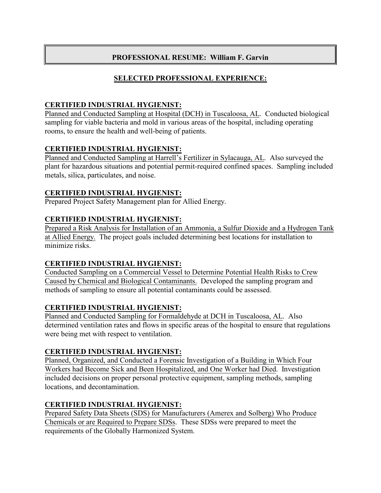## **SELECTED PROFESSIONAL EXPERIENCE:**

## **CERTIFIED INDUSTRIAL HYGIENIST:**

Planned and Conducted Sampling at Hospital (DCH) in Tuscaloosa, AL. Conducted biological sampling for viable bacteria and mold in various areas of the hospital, including operating rooms, to ensure the health and well-being of patients.

## **CERTIFIED INDUSTRIAL HYGIENIST:**

Planned and Conducted Sampling at Harrell's Fertilizer in Sylacauga, AL. Also surveyed the plant for hazardous situations and potential permit-required confined spaces. Sampling included metals, silica, particulates, and noise.

## **CERTIFIED INDUSTRIAL HYGIENIST:**

Prepared Project Safety Management plan for Allied Energy.

## **CERTIFIED INDUSTRIAL HYGIENIST:**

Prepared a Risk Analysis for Installation of an Ammonia, a Sulfur Dioxide and a Hydrogen Tank at Allied Energy. The project goals included determining best locations for installation to minimize risks.

#### **CERTIFIED INDUSTRIAL HYGIENIST:**

Conducted Sampling on a Commercial Vessel to Determine Potential Health Risks to Crew Caused by Chemical and Biological Contaminants. Developed the sampling program and methods of sampling to ensure all potential contaminants could be assessed.

#### **CERTIFIED INDUSTRIAL HYGIENIST:**

Planned and Conducted Sampling for Formaldehyde at DCH in Tuscaloosa, AL. Also determined ventilation rates and flows in specific areas of the hospital to ensure that regulations were being met with respect to ventilation.

# **CERTIFIED INDUSTRIAL HYGIENIST:**

Planned, Organized, and Conducted a Forensic Investigation of a Building in Which Four Workers had Become Sick and Been Hospitalized, and One Worker had Died. Investigation included decisions on proper personal protective equipment, sampling methods, sampling locations, and decontamination.

# **CERTIFIED INDUSTRIAL HYGIENIST:**

Prepared Safety Data Sheets (SDS) for Manufacturers (Amerex and Solberg) Who Produce Chemicals or are Required to Prepare SDSs. These SDSs were prepared to meet the requirements of the Globally Harmonized System.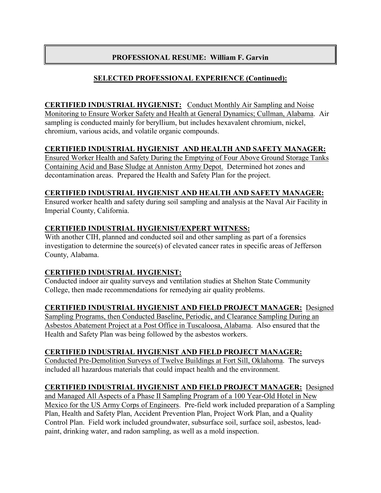# **SELECTED PROFESSIONAL EXPERIENCE (Continued):**

**CERTIFIED INDUSTRIAL HYGIENIST:** Conduct Monthly Air Sampling and Noise Monitoring to Ensure Worker Safety and Health at General Dynamics; Cullman, Alabama. Air sampling is conducted mainly for beryllium, but includes hexavalent chromium, nickel, chromium, various acids, and volatile organic compounds.

## **CERTIFIED INDUSTRIAL HYGIENIST AND HEALTH AND SAFETY MANAGER:**

Ensured Worker Health and Safety During the Emptying of Four Above Ground Storage Tanks Containing Acid and Base Sludge at Anniston Army Depot. Determined hot zones and decontamination areas. Prepared the Health and Safety Plan for the project.

## **CERTIFIED INDUSTRIAL HYGIENIST AND HEALTH AND SAFETY MANAGER:**

Ensured worker health and safety during soil sampling and analysis at the Naval Air Facility in Imperial County, California.

## **CERTIFIED INDUSTRIAL HYGIENIST/EXPERT WITNESS:**

With another CIH, planned and conducted soil and other sampling as part of a forensics investigation to determine the source(s) of elevated cancer rates in specific areas of Jefferson County, Alabama.

# **CERTIFIED INDUSTRIAL HYGIENIST:**

Conducted indoor air quality surveys and ventilation studies at Shelton State Community College, then made recommendations for remedying air quality problems.

#### **CERTIFIED INDUSTRIAL HYGIENIST AND FIELD PROJECT MANAGER:** Designed

Sampling Programs, then Conducted Baseline, Periodic, and Clearance Sampling During an Asbestos Abatement Project at a Post Office in Tuscaloosa, Alabama. Also ensured that the Health and Safety Plan was being followed by the asbestos workers.

# **CERTIFIED INDUSTRIAL HYGIENIST AND FIELD PROJECT MANAGER:**

Conducted Pre-Demolition Surveys of Twelve Buildings at Fort Sill, Oklahoma. The surveys included all hazardous materials that could impact health and the environment.

# **CERTIFIED INDUSTRIAL HYGIENIST AND FIELD PROJECT MANAGER:** Designed

and Managed All Aspects of a Phase II Sampling Program of a 100 Year-Old Hotel in New Mexico for the US Army Corps of Engineers. Pre-field work included preparation of a Sampling Plan, Health and Safety Plan, Accident Prevention Plan, Project Work Plan, and a Quality Control Plan. Field work included groundwater, subsurface soil, surface soil, asbestos, leadpaint, drinking water, and radon sampling, as well as a mold inspection.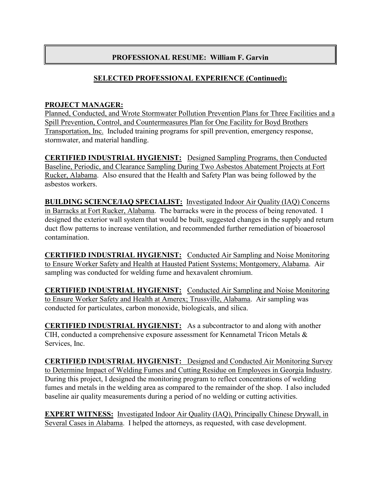## **SELECTED PROFESSIONAL EXPERIENCE (Continued):**

#### **PROJECT MANAGER:**

Planned, Conducted, and Wrote Stormwater Pollution Prevention Plans for Three Facilities and a Spill Prevention, Control, and Countermeasures Plan for One Facility for Boyd Brothers Transportation, Inc. Included training programs for spill prevention, emergency response, stormwater, and material handling.

**CERTIFIED INDUSTRIAL HYGIENIST:** Designed Sampling Programs, then Conducted Baseline, Periodic, and Clearance Sampling During Two Asbestos Abatement Projects at Fort Rucker, Alabama. Also ensured that the Health and Safety Plan was being followed by the asbestos workers.

**BUILDING SCIENCE/IAQ SPECIALIST:** Investigated Indoor Air Quality (IAQ) Concerns in Barracks at Fort Rucker, Alabama. The barracks were in the process of being renovated. I designed the exterior wall system that would be built, suggested changes in the supply and return duct flow patterns to increase ventilation, and recommended further remediation of bioaerosol contamination.

**CERTIFIED INDUSTRIAL HYGIENIST:** Conducted Air Sampling and Noise Monitoring to Ensure Worker Safety and Health at Hausted Patient Systems; Montgomery, Alabama. Air sampling was conducted for welding fume and hexavalent chromium.

**CERTIFIED INDUSTRIAL HYGIENIST:** Conducted Air Sampling and Noise Monitoring to Ensure Worker Safety and Health at Amerex; Trussville, Alabama. Air sampling was conducted for particulates, carbon monoxide, biologicals, and silica.

**CERTIFIED INDUSTRIAL HYGIENIST:** As a subcontractor to and along with another CIH, conducted a comprehensive exposure assessment for Kennametal Tricon Metals & Services, Inc.

**CERTIFIED INDUSTRIAL HYGIENIST:** Designed and Conducted Air Monitoring Survey to Determine Impact of Welding Fumes and Cutting Residue on Employees in Georgia Industry. During this project, I designed the monitoring program to reflect concentrations of welding fumes and metals in the welding area as compared to the remainder of the shop. I also included baseline air quality measurements during a period of no welding or cutting activities.

**EXPERT WITNESS:** Investigated Indoor Air Quality (IAQ), Principally Chinese Drywall, in Several Cases in Alabama. I helped the attorneys, as requested, with case development.